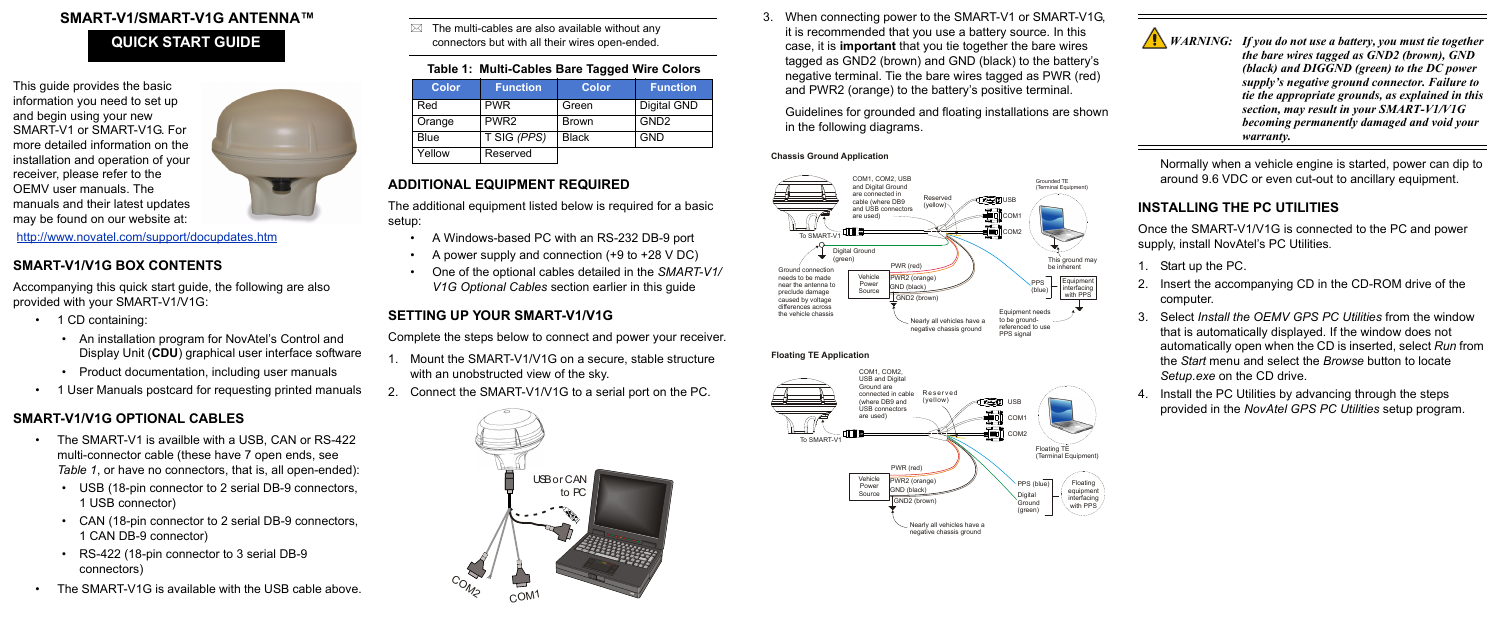# **SMART-V1/SMART-V1G ANTENNA™**

This guide provides the basic information you need to set up and begin using your new SMART-V1 or SMART-V1G. For more detailed information on the installation and operation of your receiver, please refer to the OEMV user manuals. The manuals and their latest updates may be found on our website at:

<http://www.novatel.com/support/docupdates.htm>

- 1 CD containing:
	- An installation program for NovAtel's Control and Display Unit (**CDU**) graphical user interface software
	- Product documentation, including user manuals
- 1 User Manuals postcard for requesting printed manuals

# **SMART-V1/V1G BOX CONTENTS**

Accompanying this quick start guide, the following are also provided with your SMART-V1/V1G:

 $\boxtimes$  The multi-cables are also available without any connectors but with all their wires open-ended.

## **SMART-V1/V1G OPTIONAL CABLES**

- The SMART-V1 is availble with a USB, CAN or RS-422 multi-connector cable (these have 7 open ends, see *Table 1*, or have no connectors, that is, all open-ended):
	- USB (18-pin connector to 2 serial DB-9 connectors, 1 USB connector)
	- CAN (18-pin connector to 2 serial DB-9 connectors, 1 CAN DB-9 connector)
	- RS-422 (18-pin connector to 3 serial DB-9 connectors)
- The SMART-V1G is available with the USB cable above.

### **Table 1: Multi-Cables Bare Tagged Wire Colors**

# **ADDITIONAL EQUIPMENT REQUIRED**

The additional equipment listed below is required for a basic setup:

- A Windows-based PC with an RS-232 DB-9 port
- A power supply and connection  $(+9$  to  $+28$  V DC)
- One of the optional cables detailed in the *SMART-V1/ V1G Optional Cables* section earlier in this guide

### **SETTING UP YOUR SMART-V1/V1G**

Complete the steps below to connect and power your receiver.

- 1. Mount the SMART-V1/V1G on a secure, stable structure with an unobstructed view of the sky.
- 2. Connect the SMART-V1/V1G to a serial port on the PC.

3. When connecting power to the SMART-V1 or SMART-V1G, it is recommended that you use a battery source. In this case, it is **important** that you tie together the bare wires tagged as GND2 (brown) and GND (black) to the battery's negative terminal. Tie the bare wires tagged as PWR (red) and PWR2 (orange) to the battery's positive terminal.

Guidelines for grounded and floating installations are shown in the following diagrams.

*WARNING: If you do not use a battery, you must tie together the bare wires tagged as GND2 (brown), GND (black) and DIGGND (green) to the DC power supply's negative ground connector. Failure to tie the appropriate grounds, as explained in this section, may result in your SMART-V1/V1G becoming permanently damaged and void your warranty.*

Normally when a vehicle engine is started, power can dip to around 9.6 VDC or even cut-out to ancillary equipment.

# **INSTALLING THE PC UTILITIES**

Once the SMART-V1/V1G is connected to the PC and power supply, install NovAtel's PC Utilities*.*

- 1. Start up the PC.
- 2. Insert the accompanying CD in the CD-ROM drive of the computer.
- 3. Select *Install the OEMV GPS PC Utilities* from the window that is automatically displayed. If the window does not automatically open when the CD is inserted, select *Run* from the *Start* menu and select the *Browse* button to locate *Setup.exe* on the CD drive.
- 4. Install the PC Utilities by advancing through the steps provided in the *NovAtel GPS PC Utilities* setup program.

# **QUICK START GUIDE**

| <b>Color</b> | <b>Function</b>  | <b>Color</b> | <b>Function</b>  |  |
|--------------|------------------|--------------|------------------|--|
| Red          | <b>PWR</b>       | Green        | Digital GND      |  |
| Orange       | PWR <sub>2</sub> | <b>Brown</b> | GND <sub>2</sub> |  |
| Blue         | T SIG (PPS)      | <b>Black</b> | <b>GND</b>       |  |
| Yellow       | Reserved         |              |                  |  |





**Chassis Ground Application**





#### **Floating TE Application**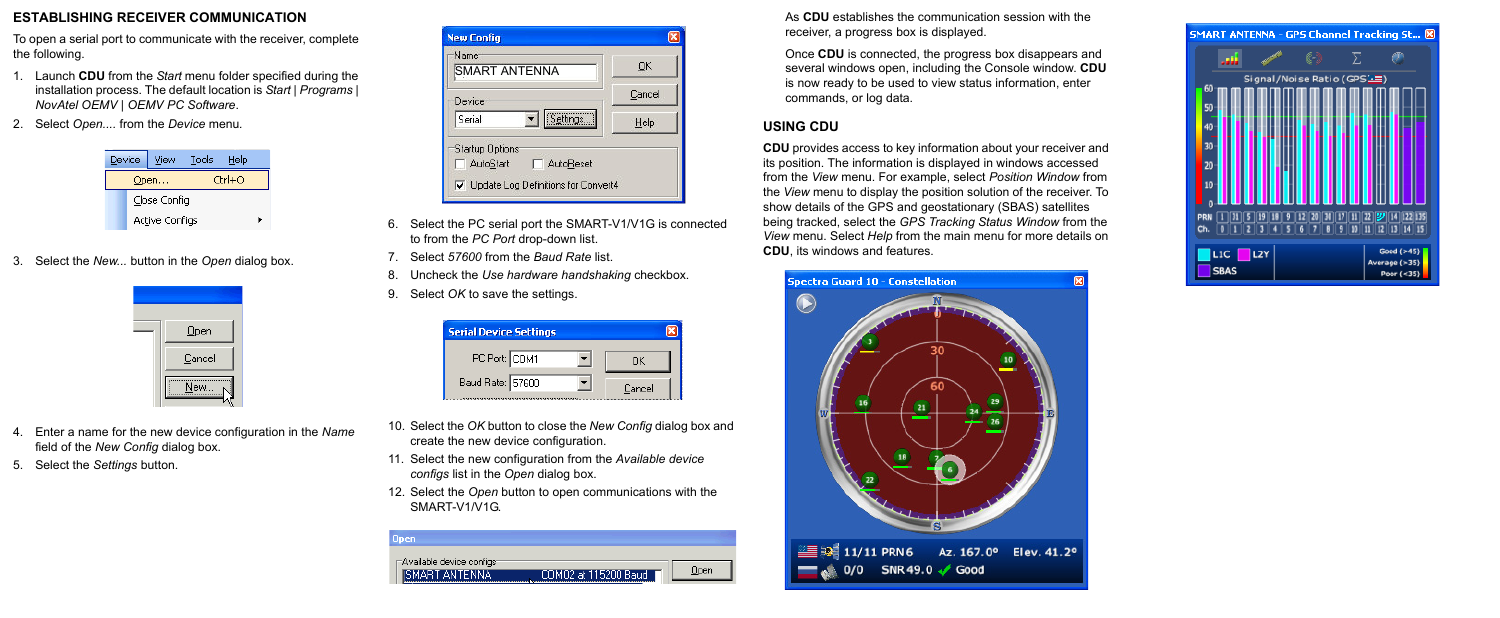## **ESTABLISHING RECEIVER COMMUNICATION**

To open a serial port to communicate with the receiver, complete the following.

- 1. Launch **CDU** from the *Start* menu folder specified during the installation process. The default location is *Start | Programs | NovAtel OEMV | OEMV PC Software*.
- 2. Select *Open....* from the *Device* menu*.*

| Device                |  | View | Tools | Help   |  |
|-----------------------|--|------|-------|--------|--|
| Open                  |  |      |       | Ctrl+O |  |
| Close Config          |  |      |       |        |  |
| <b>Active Configs</b> |  |      |       |        |  |

3. Select the *New...* button in the *Open* dialog box.



- 4. Enter a name for the new device configuration in the *Name* field of the *New Config* dialog box.
- 5. Select the *Settings* button.
- 6. Select the PC serial port the SMART-V1/V1G is connected to from the *PC Port* drop-down list.
- 7. Select *57600* from the *Baud Rate* list.
- 8. Uncheck the *Use hardware handshaking* checkbox.
- 9. Select *OK* to save the settings.

| <b>Serial Device Settings</b> |        |
|-------------------------------|--------|
| PC Port: COM1                 |        |
| Baud Rate: 57600              | Cancel |

- 10. Select the *OK* button to close the *New Config* dialog box and create the new device configuration.
- 11. Select the new configuration from the *Available device configs* list in the *Open* dialog box.
- 12. Select the *Open* button to open communications with the SMART-V1/V1G.

| Upen,                                  |                      |            |
|----------------------------------------|----------------------|------------|
| ⊤Available device configs <sup>.</sup> |                      |            |
| ISMART ANTENNA                         | COM02 at 115200 Baud | <b>Der</b> |
|                                        |                      |            |

As **CDU** establishes the communication session with the receiver, a progress box is displayed.

Once **CDU** is connected, the progress box disappears and several windows open, including the Console window. **CDU** is now ready to be used to view status information, enter commands, or log data.

## **USING CDU**

**CDU** provides access to key information about your receiver and its position. The information is displayed in windows accessed from the *View* menu. For example, select *Position Window* from the *View* menu to display the position solution of the receiver. To show details of the GPS and geostationary (SBAS) satellites being tracked, select the *GPS Tracking Status Window* from the *View* menu. Select *Help* from the main menu for more details on **CDU**, its windows and features.





- 
- 

| Name<br><b>SMART ANTENNA</b> | OΚ     |
|------------------------------|--------|
| Device                       | Cancel |
| Settings<br>Serial           | Help   |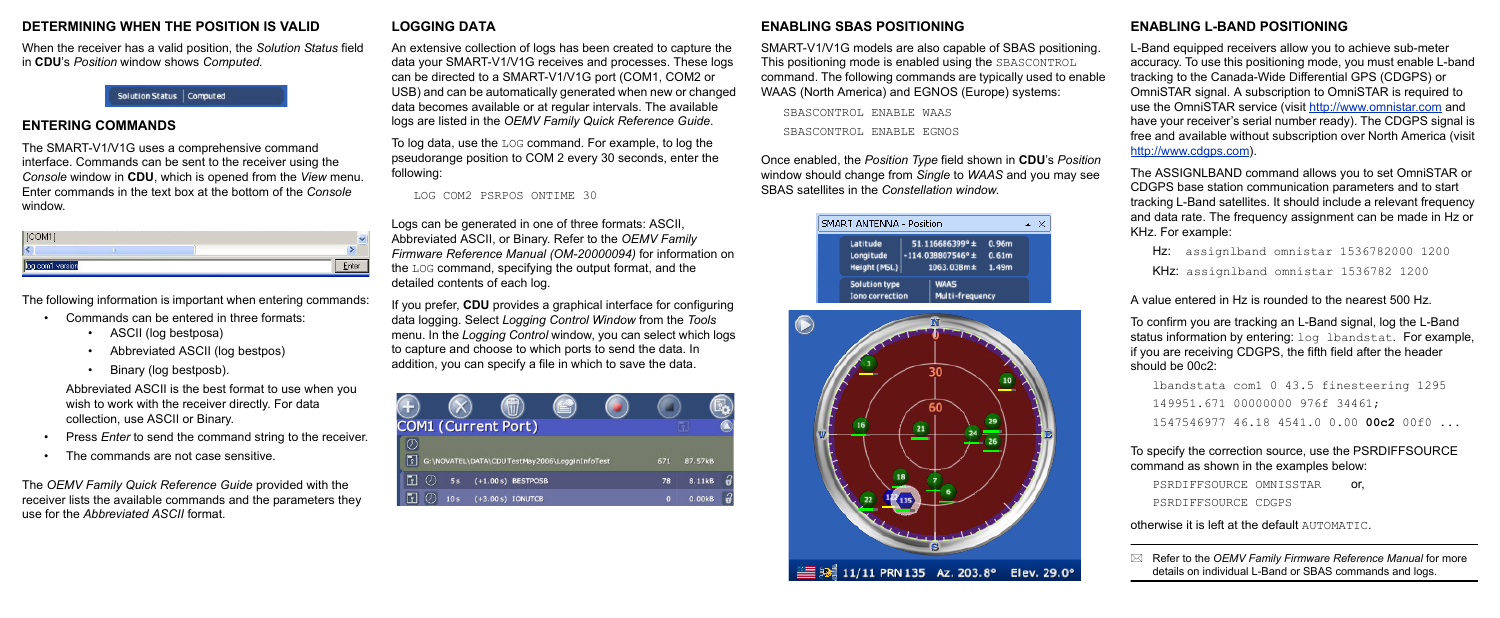#### **DETERMINING WHEN THE POSITION IS VALID**

When the receiver has a valid position, the *Solution Status* field in **CDU**'s *Position* window shows *Computed.*

Solution Status | Computed

### **ENTERING COMMANDS**

The SMART-V1/V1G uses a comprehensive command interface. Commands can be sent to the receiver using the *Console* window in **CDU**, which is opened from the *View* menu. Enter commands in the text box at the bottom of the *Console* window.

| <b>ICOM11</b>    | . . |  |
|------------------|-----|--|
|                  | . . |  |
| log com1 version |     |  |

- Press *Enter* to send the command string to the receiver.
- The commands are not case sensitive.

The following information is important when entering commands:

- Commands can be entered in three formats:
	- ASCII (log bestposa)
	- Abbreviated ASCII (log bestpos)
	- Binary (log bestposb).

Abbreviated ASCII is the best format to use when you wish to work with the receiver directly. For data collection, use ASCII or Binary.

The *OEMV Family Quick Reference Guide* provided with the receiver lists the available commands and the parameters they use for the *Abbreviated ASCII* format.

# **LOGGING DATA**

An extensive collection of logs has been created to capture the data your SMART-V1/V1G receives and processes. These logs can be directed to a SMART-V1/V1G port (COM1, COM2 or USB) and can be automatically generated when new or changed data becomes available or at regular intervals. The available logs are listed in the *OEMV Family Quick Reference Guide*.

L-Band equipped receivers allow you to achieve sub-meter accuracy. To use this positioning mode, you must enable L-band tracking to the Canada-Wide Differential GPS (CDGPS) or OmniSTAR signal. A subscription to OmniSTAR is required to use the OmniSTAR service (visit [http://www.omnistar.com](http://www.omnistar.com/) and have your receiver's serial number ready). The CDGPS signal is free and available without subscription over North America (visit [http://www.cdgps.com\)](http://www.cdgps.com).

To log data, use the LOG command. For example, to log the pseudorange position to COM 2 every 30 seconds, enter the following:

LOG COM2 PSRPOS ONTIME 30

Logs can be generated in one of three formats: ASCII, Abbreviated ASCII, or Binary. Refer to the *OEMV Family Firmware Reference Manual (OM-20000094)* for information on the LOG command, specifying the output format, and the detailed contents of each log.

Hz: assignlband omnistar 1536782000 1200 KHz: assignlband omnistar 1536782 1200

If you prefer, **CDU** provides a graphical interface for configuring data logging. Select *Logging Control Window* from the *Tools* menu. In the *Logging Control* window, you can select which logs to capture and choose to which ports to send the data. In addition, you can specify a file in which to save the data.

|              |                 | <b>COM1 (Current Port)</b> |                                               |             |         |  |
|--------------|-----------------|----------------------------|-----------------------------------------------|-------------|---------|--|
|              |                 |                            |                                               |             |         |  |
| $\boxed{5}$  |                 |                            | G:\NOVATEL\DATA\CDUTestMay2006\LogginInfoTest | 671         | 87.57kB |  |
| $\mathbb{F}$ | 5s              | $(+1.00 s)$ BESTPOSB       |                                               | 78          | 8.11kB  |  |
|              | 10 <sub>s</sub> | $(+3.00 s)$ IONUTCB        |                                               | $\mathbf 0$ | 0.00kB  |  |

PSRDIFFSOURCE OMNISSTAR **Or,** PSRDIFFSOURCE CDGPS

#### **ENABLING SBAS POSITIONING**

SMART-V1/V1G models are also capable of SBAS positioning. This positioning mode is enabled using the SBASCONTROL command. The following commands are typically used to enable WAAS (North America) and EGNOS (Europe) systems:

SBASCONTROL ENABLE WAAS

SBASCONTROL ENABLE EGNOS

Once enabled, the *Position Type* field shown in **CDU**'s *Position* window should change from *Single* to *WAAS* and you may see SBAS satellites in the *Constellation window*.

| SMART ANTENNA - Position | $\triangle$ $\times$              |
|--------------------------|-----------------------------------|
| Latitude                 | $51.116686399^{\circ} \pm 0.96$ m |
| Longitude                | $-114.038807546^{\circ}$ ± 0.61m  |
| <b>Height (MSL)</b>      | 1063.038m± 1.49m                  |
| Solution type            | <b>WAAS</b>                       |
| <b>Iono correction</b>   | <b>Multi-frequency</b>            |



## **ENABLING L-BAND POSITIONING**

The ASSIGNLBAND command allows you to set OmniSTAR or CDGPS base station communication parameters and to start tracking L-Band satellites. It should include a relevant frequency and data rate. The frequency assignment can be made in Hz or KHz. For example:

A value entered in Hz is rounded to the nearest 500 Hz.

To confirm you are tracking an L-Band signal, log the L-Band status information by entering: log lbandstat. For example, if you are receiving CDGPS, the fifth field after the header should be 00c2:

```
lbandstata com1 0 43.5 finesteering 1295
149951.671 00000000 976f 34461; 
1547546977 46.18 4541.0 0.00 00c2 00f0 ...
```
To specify the correction source, use the PSRDIFFSOURCE command as shown in the examples below:

otherwise it is left at the default AUTOMATIC.

 Refer to the *OEMV Family Firmware Reference Manual* for more details on individual L-Band or SBAS commands and logs.